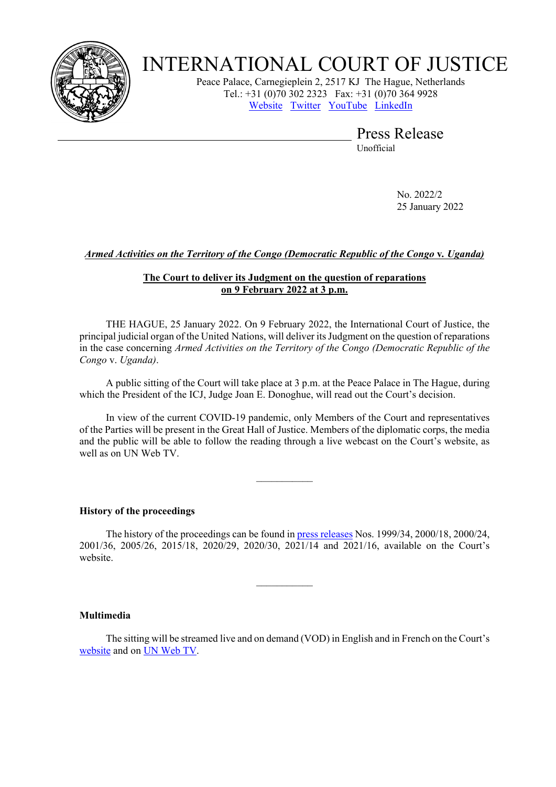

# INTERNATIONAL COURT OF JUSTICE

Peace Palace, Carnegieplein 2, 2517 KJ The Hague, Netherlands Tel.: +31 (0)70 302 2323 Fax: +31 (0)70 364 9928 [Website](https://www.icj-cij.org/) [Twitter](https://twitter.com/CIJ_ICJ) [YouTube](https://www.youtube.com/channel/UC28oiS6IwkVvWL7kLH1-QPg?app=desktop) [LinkedIn](https://www.linkedin.com/company/cour-internationale-de-justice-international-court-of-justice) 

> Press Release Unofficial

> > No. 2022/2 25 January 2022

# *Armed Activities on the Territory of the Congo (Democratic Republic of the Congo* **v***. Uganda)*

## **The Court to deliver its Judgment on the question of reparations on 9 February 2022 at 3 p.m.**

THE HAGUE, 25 January 2022. On 9 February 2022, the International Court of Justice, the principal judicial organ of the United Nations, will deliver its Judgment on the question of reparations in the case concerning *Armed Activities on the Territory of the Congo (Democratic Republic of the Congo* v. *Uganda)*.

A public sitting of the Court will take place at 3 p.m. at the Peace Palace in The Hague, during which the President of the ICJ, Judge Joan E. Donoghue, will read out the Court's decision.

In view of the current COVID-19 pandemic, only Members of the Court and representatives of the Parties will be present in the Great Hall of Justice. Members of the diplomatic corps, the media and the public will be able to follow the reading through a live webcast on the Court's website, as well as on UN Web TV.

 $\frac{1}{2}$ 

### **History of the proceedings**

The history of the proceedings can be found in [press releases](https://www.icj-cij.org/en/case/116/press-releases) Nos. 1999/34, 2000/18, 2000/24, 2001/36, 2005/26, 2015/18, 2020/29, 2020/30, 2021/14 and 2021/16, available on the Court's website.

 $\frac{1}{2}$ 

### **Multimedia**

The sitting will be streamed live and on demand (VOD) in English and in French on the Court's [website](https://www.icj-cij.org/en/multimedia-index) and on [UN Web TV.](http://webtv.un.org/live/)